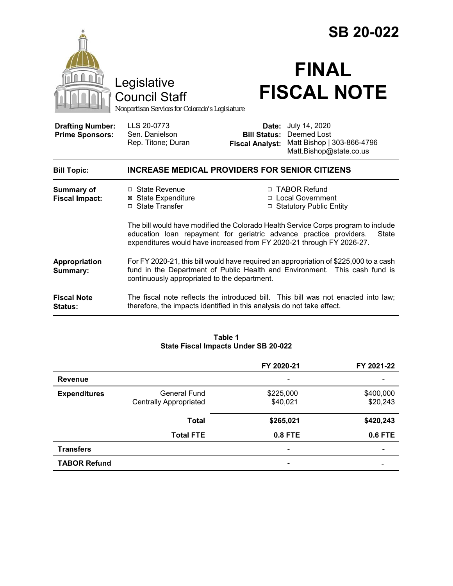|                                                   |                                                                                                                                                                                                                                           |                                 | <b>SB 20-022</b>                                                                                          |
|---------------------------------------------------|-------------------------------------------------------------------------------------------------------------------------------------------------------------------------------------------------------------------------------------------|---------------------------------|-----------------------------------------------------------------------------------------------------------|
|                                                   | Legislative<br><b>Council Staff</b><br>Nonpartisan Services for Colorado's Legislature                                                                                                                                                    |                                 | <b>FINAL</b><br><b>FISCAL NOTE</b>                                                                        |
| <b>Drafting Number:</b><br><b>Prime Sponsors:</b> | LLS 20-0773<br>Sen. Danielson<br>Rep. Titone; Duran                                                                                                                                                                                       | Date:<br><b>Fiscal Analyst:</b> | July 14, 2020<br><b>Bill Status: Deemed Lost</b><br>Matt Bishop   303-866-4796<br>Matt.Bishop@state.co.us |
| <b>Bill Topic:</b>                                | <b>INCREASE MEDICAL PROVIDERS FOR SENIOR CITIZENS</b>                                                                                                                                                                                     |                                 |                                                                                                           |
| <b>Summary of</b><br><b>Fiscal Impact:</b>        | $\Box$ State Revenue<br><b>⊠</b> State Expenditure<br>□ State Transfer                                                                                                                                                                    |                                 | □ TABOR Refund<br>□ Local Government<br>□ Statutory Public Entity                                         |
|                                                   | The bill would have modified the Colorado Health Service Corps program to include<br>education loan repayment for geriatric advance practice providers.<br>State<br>expenditures would have increased from FY 2020-21 through FY 2026-27. |                                 |                                                                                                           |
| Appropriation<br>Summary:                         | For FY 2020-21, this bill would have required an appropriation of \$225,000 to a cash<br>fund in the Department of Public Health and Environment. This cash fund is<br>continuously appropriated to the department.                       |                                 |                                                                                                           |
| <b>Fiscal Note</b><br><b>Status:</b>              | therefore, the impacts identified in this analysis do not take effect.                                                                                                                                                                    |                                 | The fiscal note reflects the introduced bill. This bill was not enacted into law;                         |

| Table 1                              |  |  |  |
|--------------------------------------|--|--|--|
| State Fiscal Impacts Under SB 20-022 |  |  |  |

|                     |                                               | FY 2020-21                   | FY 2021-22            |
|---------------------|-----------------------------------------------|------------------------------|-----------------------|
| <b>Revenue</b>      |                                               |                              |                       |
| <b>Expenditures</b> | General Fund<br><b>Centrally Appropriated</b> | \$225,000<br>\$40,021        | \$400,000<br>\$20,243 |
|                     | <b>Total</b>                                  | \$265,021                    | \$420,243             |
|                     | <b>Total FTE</b>                              | $0.8$ FTE                    | 0.6 FTE               |
| <b>Transfers</b>    |                                               | $\qquad \qquad \blacksquare$ |                       |
| <b>TABOR Refund</b> |                                               |                              |                       |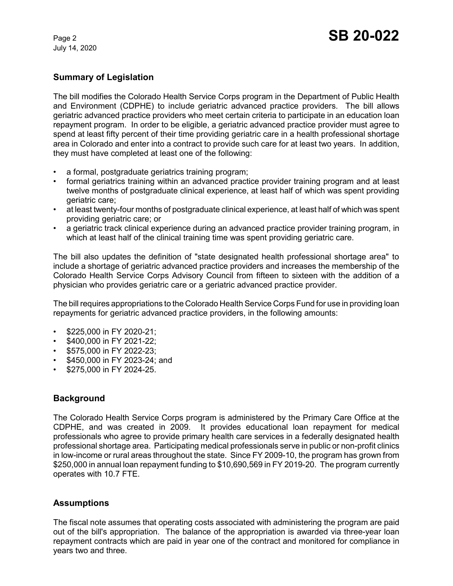July 14, 2020

# **Summary of Legislation**

The bill modifies the Colorado Health Service Corps program in the Department of Public Health and Environment (CDPHE) to include geriatric advanced practice providers. The bill allows geriatric advanced practice providers who meet certain criteria to participate in an education loan repayment program. In order to be eligible, a geriatric advanced practice provider must agree to spend at least fifty percent of their time providing geriatric care in a health professional shortage area in Colorado and enter into a contract to provide such care for at least two years. In addition, they must have completed at least one of the following:

- a formal, postgraduate geriatrics training program;
- formal geriatrics training within an advanced practice provider training program and at least twelve months of postgraduate clinical experience, at least half of which was spent providing geriatric care;
- at least twenty-four months of postgraduate clinical experience, at least half of which was spent providing geriatric care; or
- a geriatric track clinical experience during an advanced practice provider training program, in which at least half of the clinical training time was spent providing geriatric care.

The bill also updates the definition of "state designated health professional shortage area" to include a shortage of geriatric advanced practice providers and increases the membership of the Colorado Health Service Corps Advisory Council from fifteen to sixteen with the addition of a physician who provides geriatric care or a geriatric advanced practice provider.

The bill requires appropriations to the Colorado Health Service Corps Fund for use in providing loan repayments for geriatric advanced practice providers, in the following amounts:

- \$225,000 in FY 2020-21;
- \$400,000 in FY 2021-22;
- \$575,000 in FY 2022-23;
- \$450,000 in FY 2023-24; and
- \$275,000 in FY 2024-25.

# **Background**

The Colorado Health Service Corps program is administered by the Primary Care Office at the CDPHE, and was created in 2009. It provides educational loan repayment for medical professionals who agree to provide primary health care services in a federally designated health professional shortage area. Participating medical professionals serve in public or non-profit clinics in low-income or rural areas throughout the state. Since FY 2009-10, the program has grown from \$250,000 in annual loan repayment funding to \$10,690,569 in FY 2019-20. The program currently operates with 10.7 FTE.

# **Assumptions**

The fiscal note assumes that operating costs associated with administering the program are paid out of the bill's appropriation. The balance of the appropriation is awarded via three-year loan repayment contracts which are paid in year one of the contract and monitored for compliance in years two and three.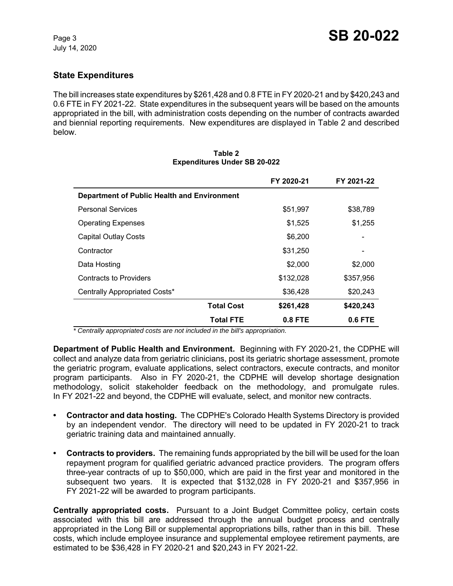# **State Expenditures**

The bill increases state expenditures by \$261,428 and 0.8 FTE in FY 2020-21 and by \$420,243 and 0.6 FTE in FY 2021-22. State expenditures in the subsequent years will be based on the amounts appropriated in the bill, with administration costs depending on the number of contracts awarded and biennial reporting requirements. New expenditures are displayed in Table 2 and described below.

|                                             | FY 2020-21                     | FY 2021-22 |  |
|---------------------------------------------|--------------------------------|------------|--|
| Department of Public Health and Environment |                                |            |  |
| <b>Personal Services</b>                    | \$51,997                       | \$38,789   |  |
| <b>Operating Expenses</b>                   | \$1,525                        | \$1,255    |  |
| <b>Capital Outlay Costs</b>                 | \$6,200                        |            |  |
| Contractor                                  | \$31,250                       |            |  |
| Data Hosting                                | \$2,000                        | \$2,000    |  |
| <b>Contracts to Providers</b>               | \$132,028                      | \$357,956  |  |
| Centrally Appropriated Costs*               | \$36,428                       | \$20,243   |  |
|                                             | <b>Total Cost</b><br>\$261,428 | \$420,243  |  |
|                                             | <b>Total FTE</b><br>0.8 FTE    | 0.6 FTE    |  |

#### **Table 2 Expenditures Under SB 20-022**

 *\* Centrally appropriated costs are not included in the bill's appropriation.*

**Department of Public Health and Environment.** Beginning with FY 2020-21, the CDPHE will collect and analyze data from geriatric clinicians, post its geriatric shortage assessment, promote the geriatric program, evaluate applications, select contractors, execute contracts, and monitor program participants. Also in FY 2020-21, the CDPHE will develop shortage designation methodology, solicit stakeholder feedback on the methodology, and promulgate rules. In FY 2021-22 and beyond, the CDPHE will evaluate, select, and monitor new contracts.

- **Contractor and data hosting.** The CDPHE's Colorado Health Systems Directory is provided by an independent vendor. The directory will need to be updated in FY 2020-21 to track geriatric training data and maintained annually.
- **Contracts to providers.** The remaining funds appropriated by the bill will be used for the loan repayment program for qualified geriatric advanced practice providers. The program offers three-year contracts of up to \$50,000, which are paid in the first year and monitored in the subsequent two years. It is expected that \$132,028 in FY 2020-21 and \$357,956 in FY 2021-22 will be awarded to program participants.

**Centrally appropriated costs.** Pursuant to a Joint Budget Committee policy, certain costs associated with this bill are addressed through the annual budget process and centrally appropriated in the Long Bill or supplemental appropriations bills, rather than in this bill. These costs, which include employee insurance and supplemental employee retirement payments, are estimated to be \$36,428 in FY 2020-21 and \$20,243 in FY 2021-22.